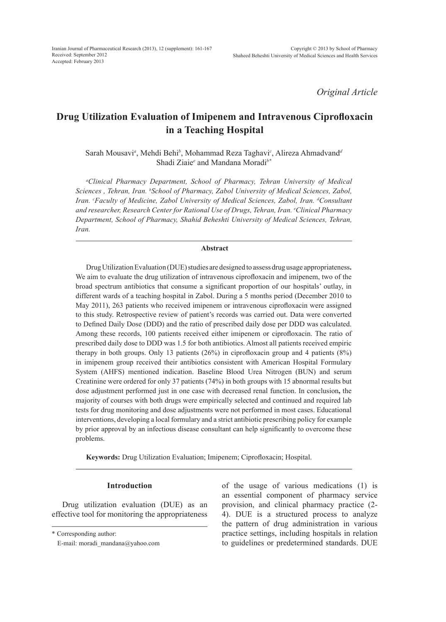*Original Article*

# **Drug Utilization Evaluation of Imipenem and Intravenous Ciprofloxacin in a Teaching Hospital**

Sarah Mousavi*<sup>a</sup>* , Mehdi Behi*<sup>b</sup>* , Mohammad Reza Taghavi*<sup>c</sup>* , Alireza Ahmadvand*<sup>d</sup>* Shadi Ziaie*<sup>e</sup>* and Mandana Moradi*b\**

*a Clinical Pharmacy Department, School of Pharmacy, Tehran University of Medical*  Sciences, Tehran, Iran. <sup>*b*</sup>School of Pharmacy, Zabol University of Medical Sciences, Zabol, Iran. *CFaculty of Medicine, Zabol University of Medical Sciences, Zabol, Iran. <sup>d</sup>Consultant and researcher, Research Center for Rational Use of Drugs, Tehran, Iran. e Clinical Pharmacy Department, School of Pharmacy, Shahid Beheshti University of Medical Sciences, Tehran, Iran.*

# **Abstract**

Drug Utilization Evaluation (DUE) studies are designed to assess drug usage appropriateness**.**  We aim to evaluate the drug utilization of intravenous ciprofloxacin and imipenem, two of the broad spectrum antibiotics that consume a significant proportion of our hospitals' outlay, in different wards of a teaching hospital in Zabol. During a 5 months period (December 2010 to May 2011), 263 patients who received imipenem or intravenous ciprofloxacin were assigned to this study. Retrospective review of patient's records was carried out. Data were converted to Defined Daily Dose (DDD) and the ratio of prescribed daily dose per DDD was calculated. Among these records, 100 patients received either imipenem or ciprofloxacin. The ratio of prescribed daily dose to DDD was 1.5 for both antibiotics. Almost all patients received empiric therapy in both groups. Only 13 patients (26%) in ciprofloxacin group and 4 patients (8%) in imipenem group received their antibiotics consistent with American Hospital Formulary System (AHFS) mentioned indication. Baseline Blood Urea Nitrogen (BUN) and serum Creatinine were ordered for only 37 patients (74%) in both groups with 15 abnormal results but dose adjustment performed just in one case with decreased renal function. In conclusion**,** the majority of courses with both drugs were empirically selected and continued and required lab tests for drug monitoring and dose adjustments were not performed in most cases. Educational interventions, developing a local formulary and a strict antibiotic prescribing policy for example by prior approval by an infectious disease consultant can help significantly to overcome these problems.

**Keywords:** Drug Utilization Evaluation; Imipenem; Ciprofloxacin; Hospital.

# **Introduction**

Drug utilization evaluation (DUE) as an effective tool for monitoring the appropriateness

\* Corresponding author:

of the usage of various medications (1) is an essential component of pharmacy service provision, and clinical pharmacy practice (2- 4). DUE is a structured process to analyze the pattern of drug administration in various practice settings, including hospitals in relation to guidelines or predetermined standards. DUE

E-mail: moradi\_mandana@yahoo.com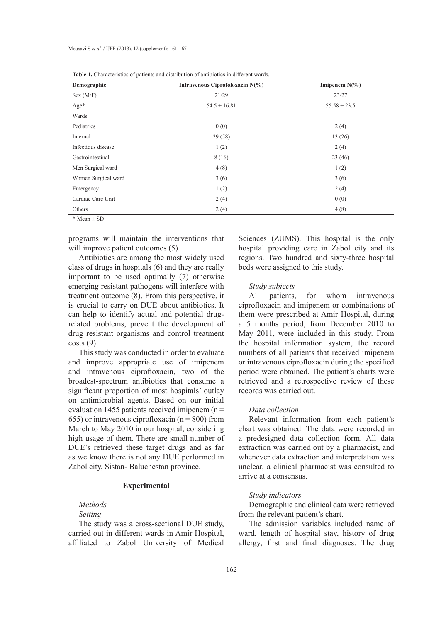| Demographic         | Intravenous Ciprofoloxacin N(%) | Imipenem $N(\%)$ |  |
|---------------------|---------------------------------|------------------|--|
| Sex (M/F)           | 21/29                           | 23/27            |  |
| $Age*$              | $54.5 \pm 16.81$                | $55.58 \pm 23.5$ |  |
| Wards               |                                 |                  |  |
| Pediatrics          | 0(0)                            | 2(4)             |  |
| Internal            | 29(58)                          | 13(26)           |  |
| Infectious disease  | 1(2)                            | 2(4)             |  |
| Gastrointestinal    | 8(16)                           | 23(46)           |  |
| Men Surgical ward   | 4(8)                            | 1(2)             |  |
| Women Surgical ward | 3(6)                            | 3(6)             |  |
| Emergency           | 1(2)                            | 2(4)             |  |
| Cardiac Care Unit   | 2(4)                            | 0(0)             |  |
| Others              | 2(4)                            | 4(8)             |  |

| <b>Table 1.</b> Characteristics of patients and distribution of antibiotics in different wards. |  |  |  |  |
|-------------------------------------------------------------------------------------------------|--|--|--|--|
|-------------------------------------------------------------------------------------------------|--|--|--|--|

\* Mean ± SD

programs will maintain the interventions that will improve patient outcomes  $(5)$ .

Antibiotics are among the most widely used class of drugs in hospitals (6) and they are really important to be used optimally (7) otherwise emerging resistant pathogens will interfere with treatment outcome (8). From this perspective, it is crucial to carry on DUE about antibiotics. It can help to identify actual and potential drugrelated problems, prevent the development of drug resistant organisms and control treatment  $costs(9)$ .

This study was conducted in order to evaluate and improve appropriate use of imipenem and intravenous ciprofloxacin, two of the broadest-spectrum antibiotics that consume a significant proportion of most hospitals' outlay on antimicrobial agents. Based on our initial evaluation 1455 patients received imipenem  $(n =$ 655) or intravenous ciprofloxacin ( $n = 800$ ) from March to May 2010 in our hospital, considering high usage of them. There are small number of DUE's retrieved these target drugs and as far as we know there is not any DUE performed in Zabol city, Sistan- Baluchestan province.

# **Experimental**

# *Methods*

# *Setting*

The study was a cross-sectional DUE study, carried out in different wards in Amir Hospital, affiliated to Zabol University of Medical Sciences (ZUMS). This hospital is the only hospital providing care in Zabol city and its regions. Two hundred and sixty-three hospital beds were assigned to this study.

### *Study subjects*

All patients, for whom intravenous ciprofloxacin and imipenem or combinations of them were prescribed at Amir Hospital, during a 5 months period, from December 2010 to May 2011, were included in this study. From the hospital information system, the record numbers of all patients that received imipenem or intravenous ciprofloxacin during the specified period were obtained. The patient's charts were retrieved and a retrospective review of these records was carried out.

#### *Data collection*

Relevant information from each patient's chart was obtained. The data were recorded in a predesigned data collection form. All data extraction was carried out by a pharmacist, and whenever data extraction and interpretation was unclear, a clinical pharmacist was consulted to arrive at a consensus.

# *Study indicators*

Demographic and clinical data were retrieved from the relevant patient's chart.

The admission variables included name of ward, length of hospital stay, history of drug allergy, first and final diagnoses. The drug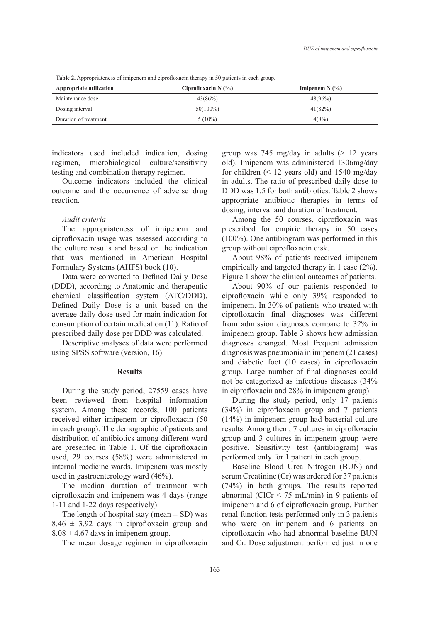| Appropriate utilization | Ciprofloxacin N $(%)$ | Imipenem $N(\%)$ |  |  |
|-------------------------|-----------------------|------------------|--|--|
| Maintenance dose        | 43(86%)               | 48(96%)          |  |  |
| Dosing interval         | $50(100\%)$           | 41(82%)          |  |  |
| Duration of treatment   | $5(10\%)$             | 4(8%)            |  |  |

**Table 2.** Appropriateness of imipenem and ciprofloxacin therapy in 50 patients in each group.

indicators used included indication, dosing regimen, microbiological culture/sensitivity testing and combination therapy regimen.

Outcome indicators included the clinical outcome and the occurrence of adverse drug reaction.

# *Audit criteria*

The appropriateness of imipenem and ciprofloxacin usage was assessed according to the culture results and based on the indication that was mentioned in American Hospital Formulary Systems (AHFS) book (10).

Data were converted to Defined Daily Dose (DDD), according to Anatomic and therapeutic chemical classification system (ATC/DDD). Defined Daily Dose is a unit based on the average daily dose used for main indication for consumption of certain medication (11). Ratio of prescribed daily dose per DDD was calculated.

Descriptive analyses of data were performed using SPSS software (version, 16).

# **Results**

During the study period, 27559 cases have been reviewed from hospital information system. Among these records, 100 patients received either imipenem or ciprofloxacin (50 in each group). The demographic of patients and distribution of antibiotics among different ward are presented in Table 1. Of the ciprofloxacin used, 29 courses (58%) were administered in internal medicine wards. Imipenem was mostly used in gastroenterology ward (46%).

The median duration of treatment with ciprofloxacin and imipenem was 4 days (range 1-11 and 1-22 days respectively).

The length of hospital stay (mean  $\pm$  SD) was  $8.46 \pm 3.92$  days in ciprofloxacin group and  $8.08 \pm 4.67$  days in imipenem group.

The mean dosage regimen in ciprofloxacin

group was 745 mg/day in adults  $(> 12$  years old). Imipenem was administered 1306mg/day for children  $($  < 12 years old) and 1540 mg/day in adults. The ratio of prescribed daily dose to DDD was 1.5 for both antibiotics. Table 2 shows appropriate antibiotic therapies in terms of dosing, interval and duration of treatment.

Among the 50 courses, ciprofloxacin was prescribed for empiric therapy in 50 cases (100%). One antibiogram was performed in this group without ciprofloxacin disk.

About 98% of patients received imipenem empirically and targeted therapy in 1 case (2%). Figure 1 show the clinical outcomes of patients.

About 90% of our patients responded to ciprofloxacin while only 39% responded to imipenem. In 30% of patients who treated with ciprofloxacin final diagnoses was different from admission diagnoses compare to 32% in imipenem group. Table 3 shows how admission diagnoses changed. Most frequent admission diagnosis was pneumonia in imipenem (21 cases) and diabetic foot (10 cases) in ciprofloxacin group. Large number of final diagnoses could not be categorized as infectious diseases (34% in ciprofloxacin and 28% in imipenem group).

During the study period, only 17 patients (34%) in ciprofloxacin group and 7 patients (14%) in imipenem group had bacterial culture results. Among them, 7 cultures in ciprofloxacin group and 3 cultures in imipenem group were positive. Sensitivity test (antibiogram) was performed only for 1 patient in each group.

Baseline Blood Urea Nitrogen (BUN) and serum Creatinine (Cr) was ordered for 37 patients (74%) in both groups. The results reported abnormal (ClCr < 75 mL/min) in 9 patients of imipenem and 6 of ciprofloxacin group. Further renal function tests performed only in 3 patients who were on imipenem and 6 patients on ciprofloxacin who had abnormal baseline BUN and Cr. Dose adjustment performed just in one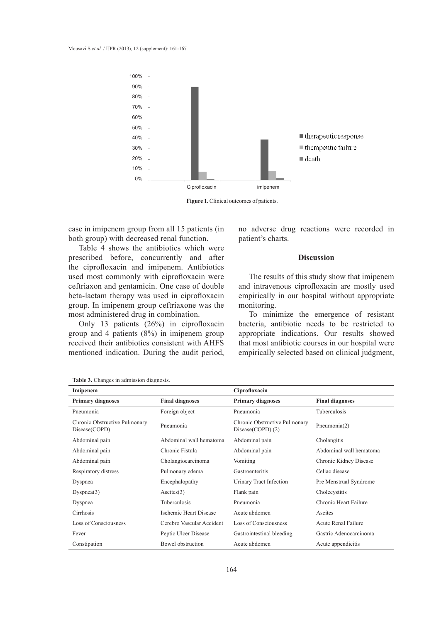

**Figure 1.** Clinical outcomes of patients.

case in imipenem group from all 15 patients (in both group) with decreased renal function.

Table 4 shows the antibiotics which were prescribed before, concurrently and after the ciprofloxacin and imipenem. Antibiotics used most commonly with ciprofloxacin were ceftriaxon and gentamicin. One case of double beta-lactam therapy was used in ciprofloxacin group. In imipenem group ceftriaxone was the most administered drug in combination.

Only 13 patients (26%) in ciprofloxacin group and 4 patients (8%) in imipenem group received their antibiotics consistent with AHFS mentioned indication. During the audit period,

no adverse drug reactions were recorded in patient's charts.

# **Discussion**

The results of this study show that imipenem and intravenous ciprofloxacin are mostly used empirically in our hospital without appropriate monitoring.

To minimize the emergence of resistant bacteria, antibiotic needs to be restricted to appropriate indications. Our results showed that most antibiotic courses in our hospital were empirically selected based on clinical judgment,

| Imipenem                                       |                           | Ciprofloxacin                                     |                         |
|------------------------------------------------|---------------------------|---------------------------------------------------|-------------------------|
| <b>Primary diagnoses</b>                       | <b>Final diagnoses</b>    | <b>Primary diagnoses</b>                          | <b>Final diagnoses</b>  |
| Pneumonia                                      | Foreign object            | Pneumonia                                         | Tuberculosis            |
| Chronic Obstructive Pulmonary<br>Disease(COPD) | Pneumonia                 | Chronic Obstructive Pulmonary<br>Disease(COPD)(2) | Pneumonia(2)            |
| Abdominal pain                                 | Abdominal wall hematoma   | Abdominal pain                                    | Cholangitis             |
| Abdominal pain                                 | Chronic Fistula           | Abdominal pain                                    | Abdominal wall hematoma |
| Abdominal pain                                 | Cholangiocarcinoma        | Vomiting                                          | Chronic Kidney Disease  |
| Respiratory distress                           | Pulmonary edema           | Gastroenteritis                                   | Celiac disease          |
| Dyspnea                                        | Encephalopathy            | Urinary Tract Infection                           | Pre Menstrual Syndrome  |
| Dyspnea(3)                                     | A <sub>scites</sub> (3)   | Flank pain                                        | Cholecystitis           |
| Dyspnea                                        | Tuberculosis              | Pneumonia                                         | Chronic Heart Failure   |
| Cirrhosis                                      | Ischemic Heart Disease    | Acute abdomen                                     | Ascites                 |
| Loss of Consciousness                          | Cerebro Vascular Accident | Loss of Consciousness                             | Acute Renal Failure     |
| Fever                                          | Peptic Ulcer Disease      | Gastrointestinal bleeding                         | Gastric Adenocarcinoma  |
| Constipation                                   | Bowel obstruction         | Acute abdomen                                     | Acute appendicitis      |

**Table 3.** Changes in admission diagnosis.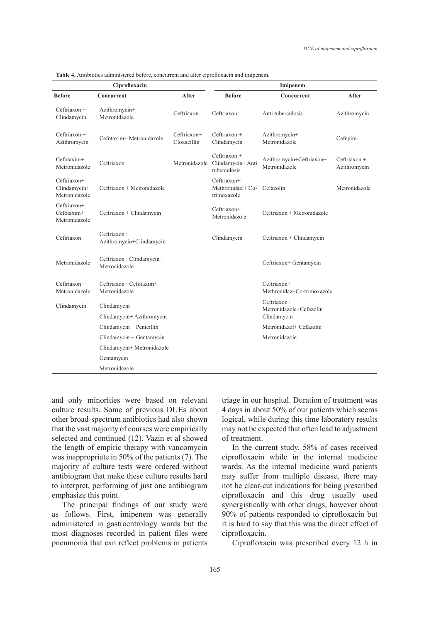| Ciprofloxacin                                           |                                           |                            | Imipenem                                          |                                                       |                                |  |
|---------------------------------------------------------|-------------------------------------------|----------------------------|---------------------------------------------------|-------------------------------------------------------|--------------------------------|--|
| <b>Before</b>                                           | Concurrent                                | After                      | <b>Before</b>                                     | Concurrent                                            | After                          |  |
| $Ceftriaxon +$<br>Clindamycin                           | Azithromycin+<br>Metronidazole            | Ceftriaxon                 | Ceftriaxon                                        | Anti tuberculosis                                     | Azithromycin                   |  |
| $Ceftriaxon +$<br>Azithromycin                          | Cefotaxim+ Metronidazole                  | Ceftriaxon+<br>Cloxacillin | $Ceftriaxon +$<br>Clindamycin                     | Azithromycin+<br>Metronidazole                        | Cefepim                        |  |
| $Cefotaxim+$<br>Metronidazole                           | Ceftriaxon                                | Metronidazole              | Ceftriaxon +<br>Clindamycin+ Anti<br>tuberculosis | Azithromycin+Ceftriaxon+<br>Metronidazole             | $Ceftriaxon +$<br>Azithromycin |  |
| Ceftriaxon+<br>Clindamycin+<br>Metronidazole            | Ceftriaxon + Metronidazole                |                            | Ceftriaxon+<br>Methronidaz $H$ Co-<br>trimoxazole | Cefazolin                                             | Metronidazole                  |  |
| Ceftriaxon+<br>Cefotaxim+<br>Metronidazole              | Ceftriaxon + Clindamycin                  |                            | Ceftriaxon+<br>Metronidazole                      | Ceftriaxon + Metronidazole                            |                                |  |
| Ceftriaxon                                              | Ceftriaxon+<br>Azithromycin+Clindamycin   |                            | Clindamycin                                       | Ceftriaxon + Clindamycin                              |                                |  |
| Metronidazole                                           | Ceftriaxon+ Clindamycin+<br>Metronidazole |                            |                                                   | Ceftriaxon+ Gentamycin                                |                                |  |
| Ceftriaxon +<br>Metronidazole                           | Ceftriaxon+ Cefotaxim+<br>Metronidazole   |                            |                                                   | Ceftriaxon+<br>Methronidaz+Co-trimoxazole             |                                |  |
| Clindamycin<br>Clindamycin<br>Clindamycin+ Azithromycin |                                           |                            |                                                   | Ceftriaxon+<br>Metronidazole+Cefazolin<br>Clindamycin |                                |  |
|                                                         |                                           |                            |                                                   |                                                       |                                |  |
|                                                         | Clindamycin + Penicillin                  |                            |                                                   | Metronidazol+ Cefazolin                               |                                |  |
|                                                         | $C$ lindamycin + Gentamycin               |                            |                                                   | Metronidazole                                         |                                |  |
|                                                         | Clindamycin+ Metronidazole                |                            |                                                   |                                                       |                                |  |
|                                                         | Gentamycin                                |                            |                                                   |                                                       |                                |  |
|                                                         | Metronidazole                             |                            |                                                   |                                                       |                                |  |

**Table 4.** Antibiotics administered before, concurrent and after ciprofloxacin and imipenem.

and only minorities were based on relevant culture results. Some of previous DUEs about other broad-spectrum antibiotics had also shown that the vast majority of courses were empirically selected and continued (12). Vazin et al showed the length of empiric therapy with vancomycin was inappropriate in 50% of the patients (7). The majority of culture tests were ordered without antibiogram that make these culture results hard to interpret, performing of just one antibiogram emphasize this point.

The principal findings of our study were as follows. First, imipenem was generally administered in gastroentrology wards but the most diagnoses recorded in patient files were pneumonia that can reflect problems in patients triage in our hospital. Duration of treatment was 4 days in about 50% of our patients which seems logical, while during this time laboratory results may not be expected that often lead to adjustment of treatment.

In the current study, 58% of cases received ciprofloxacin while in the internal medicine wards. As the internal medicine ward patients may suffer from multiple disease, there may not be clear-cut indications for being prescribed ciprofloxacin and this drug usually used synergistically with other drugs, however about 90% of patients responded to ciprofloxacin but it is hard to say that this was the direct effect of ciprofloxacin.

Ciprofloxacin was prescribed every 12 h in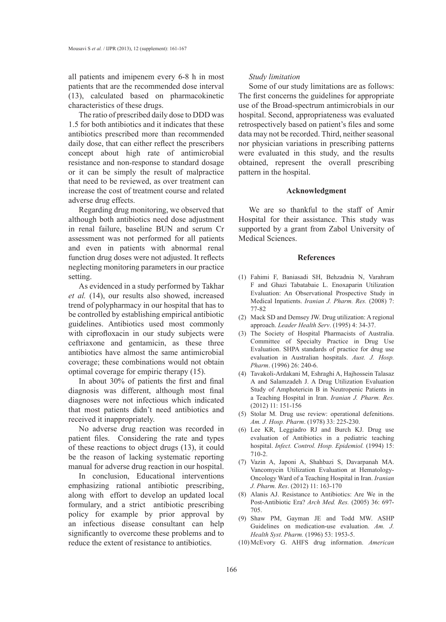all patients and imipenem every 6-8 h in most patients that are the recommended dose interval (13), calculated based on pharmacokinetic characteristics of these drugs.

The ratio of prescribed daily dose to DDD was 1.5 for both antibiotics and it indicates that these antibiotics prescribed more than recommended daily dose, that can either reflect the prescribers concept about high rate of antimicrobial resistance and non-response to standard dosage or it can be simply the result of malpractice that need to be reviewed, as over treatment can increase the cost of treatment course and related adverse drug effects.

Regarding drug monitoring, we observed that although both antibiotics need dose adjustment in renal failure, baseline BUN and serum Cr assessment was not performed for all patients and even in patients with abnormal renal function drug doses were not adjusted. It reflects neglecting monitoring parameters in our practice setting.

As evidenced in a study performed by Takhar *et al.* (14), our results also showed, increased trend of polypharmacy in our hospital that has to be controlled by establishing empirical antibiotic guidelines. Antibiotics used most commonly with ciprofloxacin in our study subjects were ceftriaxone and gentamicin, as these three antibiotics have almost the same antimicrobial coverage; these combinations would not obtain optimal coverage for empiric therapy (15).

In about 30% of patients the first and final diagnosis was different, although most final diagnoses were not infectious which indicated that most patients didn't need antibiotics and received it inappropriately.

No adverse drug reaction was recorded in patient files. Considering the rate and types of these reactions to object drugs (13), it could be the reason of lacking systematic reporting manual for adverse drug reaction in our hospital.

In conclusion, Educational interventions emphasizing rational antibiotic prescribing, along with effort to develop an updated local formulary, and a strict antibiotic prescribing policy for example by prior approval by an infectious disease consultant can help significantly to overcome these problems and to reduce the extent of resistance to antibiotics.

#### *Study limitation*

Some of our study limitations are as follows: The first concerns the guidelines for appropriate use of the Broad-spectrum antimicrobials in our hospital. Second, appropriateness was evaluated retrospectively based on patient's files and some data may not be recorded. Third, neither seasonal nor physician variations in prescribing patterns were evaluated in this study, and the results obtained, represent the overall prescribing pattern in the hospital.

#### **Acknowledgment**

We are so thankful to the staff of Amir Hospital for their assistance. This study was supported by a grant from Zabol University of Medical Sciences.

### **References**

- Fahimi F, Baniasadi SH, Behzadnia N, Varahram (1) F and Ghazi Tabatabaie L. Enoxaparin Utilization Evaluation: An Observational Prospective Study in Medical Inpatients. *Iranian J. Pharm. Res.* (2008) 7: 77-82
- (2) Mack SD and Demsey JW. Drug utilization: A regional approach. *Leader Health Serv*. (1995) 4: 34-37.
- (3) The Society of Hospital Pharmacists of Australia. Committee of Specialty Practice in Drug Use Evaluation. SHPA standards of practice for drug use evaluation in Australian hospitals. *Aust. J. Hosp. Pharm*. (1996) 26: 240-6.
- Tavakoli-Ardakani M, Eshraghi A, Hajhossein Talasaz (4) A and Salamzadeh J. A Drug Utilization Evaluation Study of Amphotericin B in Neutropenic Patients in a Teaching Hospital in Iran. *Iranian J. Pharm. Res.* (2012) 11: 151-156
- (5) Stolar M. Drug use review: operational defenitions. *Am. J. Hosp. Pharm*. (1978) 33: 225-230.
- Lee KR, Leggiadro RJ and Burch KJ. Drug use (6) evaluation of Antibiotics in a pediatric teaching hospital. *Infect. Control. Hosp. Epidemiol.* (1994) 15: 710-2.
- Vazin A, Japoni A, Shahbazi S, Davarpanah MA. (7) Vancomycin Utilization Evaluation at Hematology-Oncology Ward of a Teaching Hospital in Iran. *Iranian J. Pharm. Res*. (2012) 11: 163-170
- Alanis AJ. Resistance to Antibiotics: Are We in the (8) Post-Antibiotic Era? *Arch Med. Res.* (2005) 36: 697- 705.
- Shaw PM, Gayman JE and Todd MW. ASHP (9) Guidelines on medication-use evaluation. *Am. J. Health Syst. Pharm.* (1996) 53: 1953-5.
- McEvory G. AHFS drug information. *American*  (10)